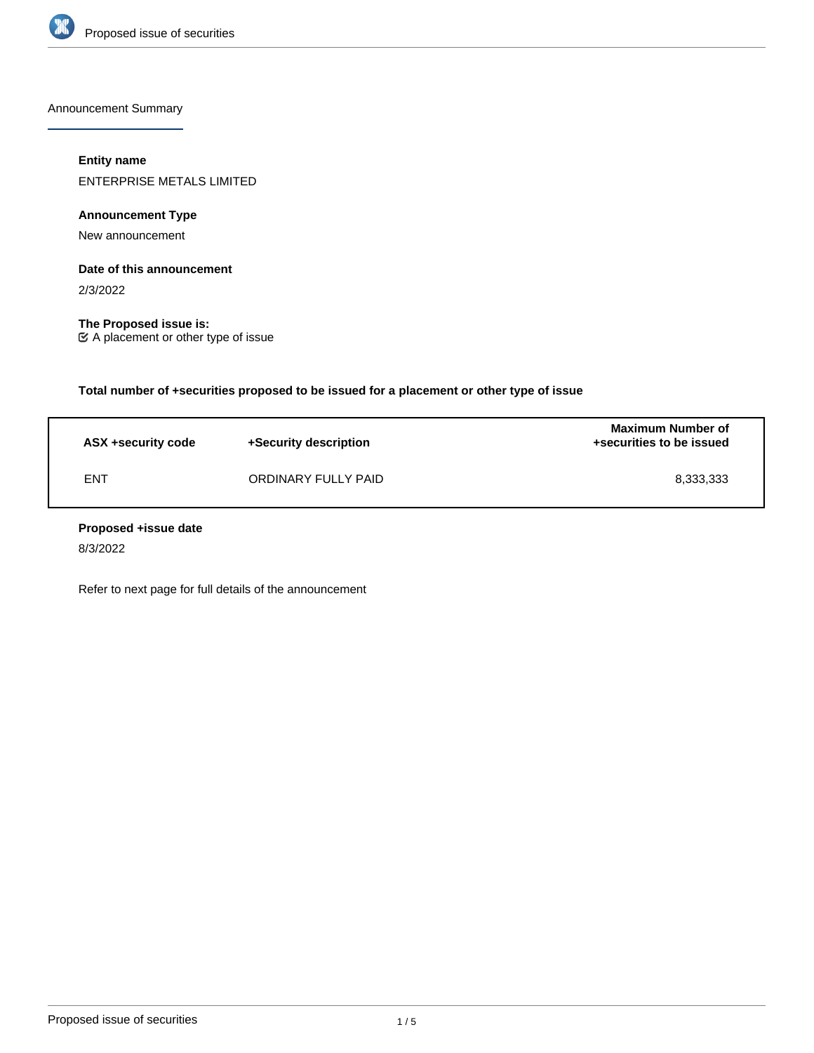

Announcement Summary

# **Entity name**

ENTERPRISE METALS LIMITED

**Announcement Type**

New announcement

# **Date of this announcement**

2/3/2022

**The Proposed issue is:** A placement or other type of issue

**Total number of +securities proposed to be issued for a placement or other type of issue**

| ASX +security code | +Security description | <b>Maximum Number of</b><br>+securities to be issued |
|--------------------|-----------------------|------------------------------------------------------|
| <b>ENT</b>         | ORDINARY FULLY PAID   | 8,333,333                                            |

## **Proposed +issue date**

8/3/2022

Refer to next page for full details of the announcement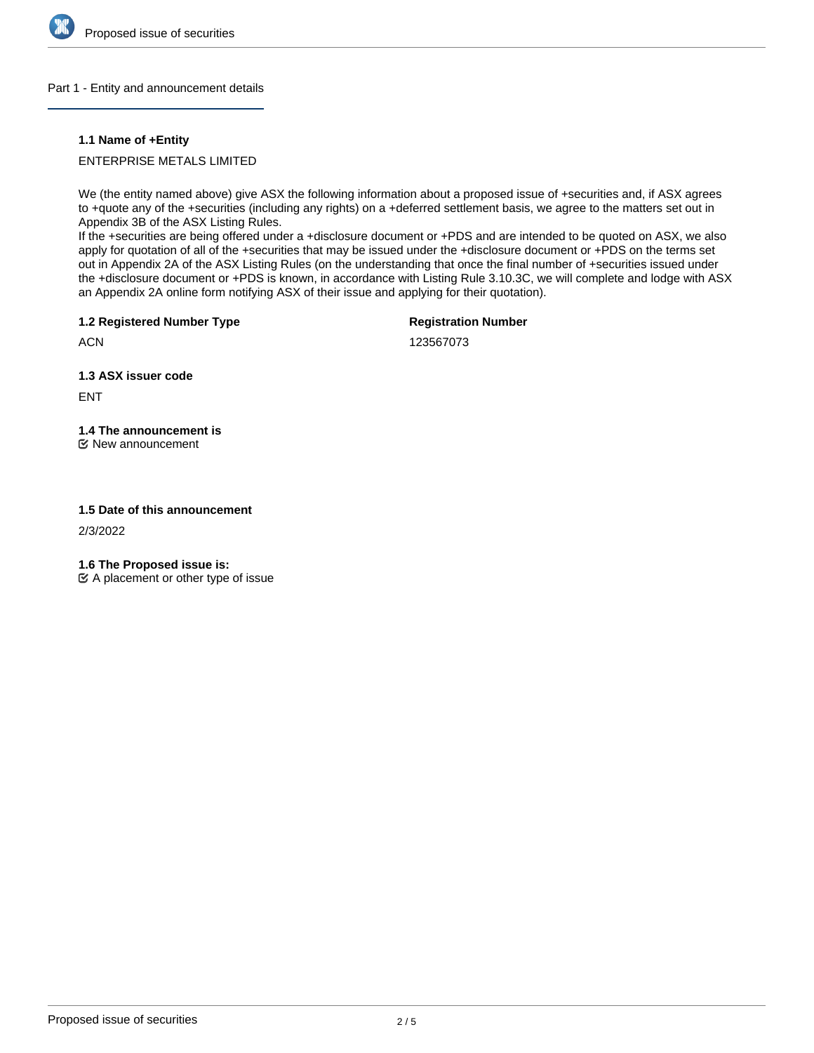

## Part 1 - Entity and announcement details

## **1.1 Name of +Entity**

## ENTERPRISE METALS LIMITED

We (the entity named above) give ASX the following information about a proposed issue of +securities and, if ASX agrees to +quote any of the +securities (including any rights) on a +deferred settlement basis, we agree to the matters set out in Appendix 3B of the ASX Listing Rules.

If the +securities are being offered under a +disclosure document or +PDS and are intended to be quoted on ASX, we also apply for quotation of all of the +securities that may be issued under the +disclosure document or +PDS on the terms set out in Appendix 2A of the ASX Listing Rules (on the understanding that once the final number of +securities issued under the +disclosure document or +PDS is known, in accordance with Listing Rule 3.10.3C, we will complete and lodge with ASX an Appendix 2A online form notifying ASX of their issue and applying for their quotation).

**1.2 Registered Number Type**

**Registration Number**

123567073

**1.3 ASX issuer code**

ENT

**ACN** 

# **1.4 The announcement is**

New announcement

## **1.5 Date of this announcement**

2/3/2022

**1.6 The Proposed issue is:**

 $\mathfrak{C}$  A placement or other type of issue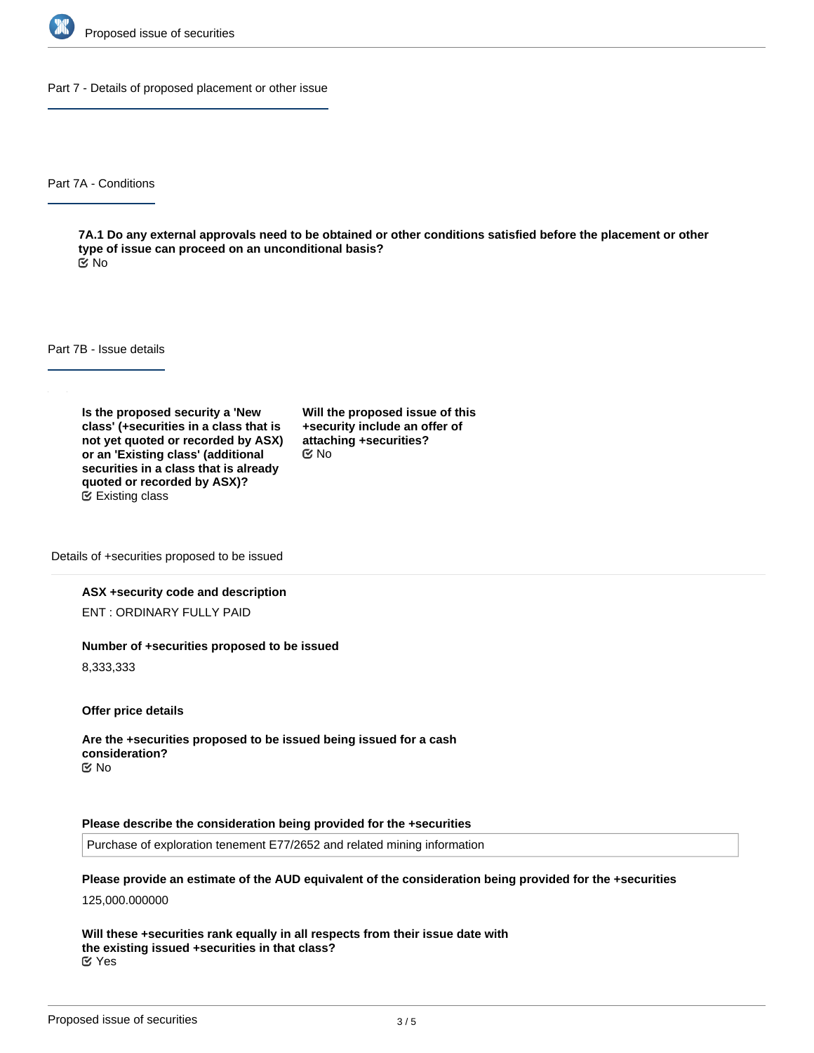

Part 7 - Details of proposed placement or other issue

Part 7A - Conditions

**7A.1 Do any external approvals need to be obtained or other conditions satisfied before the placement or other type of issue can proceed on an unconditional basis?** No

Part 7B - Issue details

**Is the proposed security a 'New class' (+securities in a class that is not yet quoted or recorded by ASX) or an 'Existing class' (additional securities in a class that is already quoted or recorded by ASX)?** Existing class

**Will the proposed issue of this +security include an offer of attaching +securities?** No

Details of +securities proposed to be issued

## **ASX +security code and description**

ENT : ORDINARY FULLY PAID

### **Number of +securities proposed to be issued**

8,333,333

**Offer price details**

**Are the +securities proposed to be issued being issued for a cash consideration?** No

#### **Please describe the consideration being provided for the +securities**

Purchase of exploration tenement E77/2652 and related mining information

**Please provide an estimate of the AUD equivalent of the consideration being provided for the +securities**

125,000.000000

**Will these +securities rank equally in all respects from their issue date with the existing issued +securities in that class?** Yes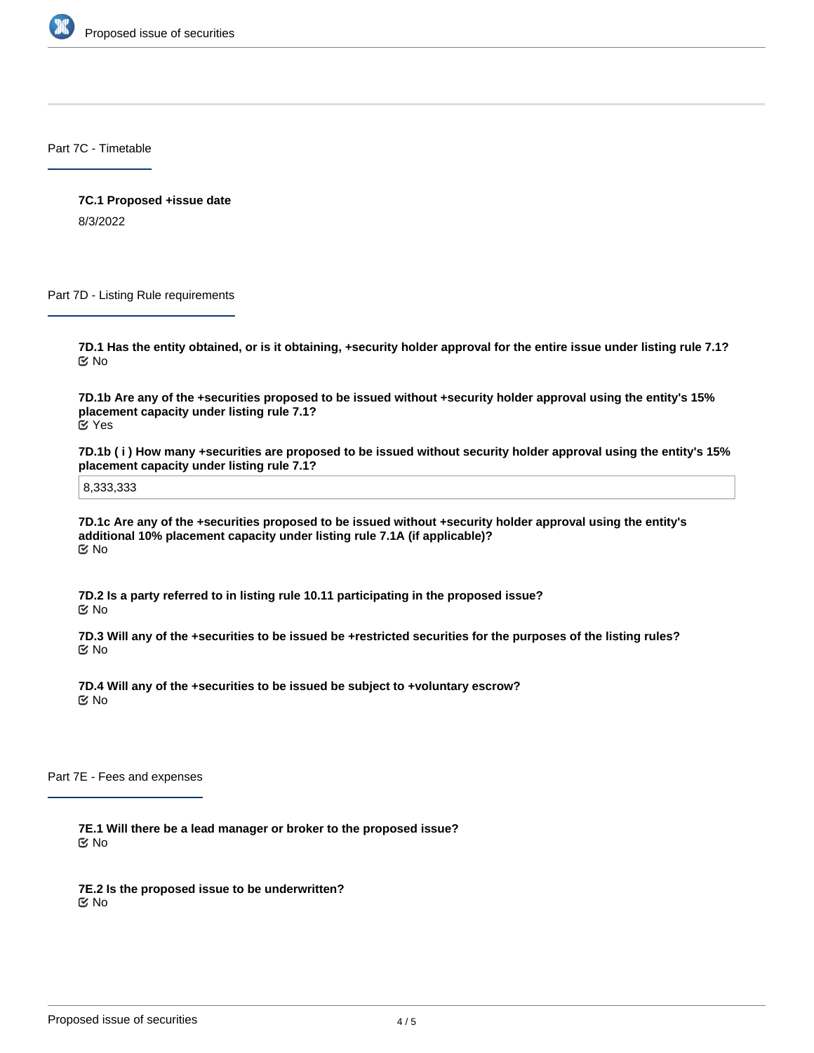

Part 7C - Timetable

**7C.1 Proposed +issue date** 8/3/2022

Part 7D - Listing Rule requirements

**7D.1 Has the entity obtained, or is it obtaining, +security holder approval for the entire issue under listing rule 7.1?** No

**7D.1b Are any of the +securities proposed to be issued without +security holder approval using the entity's 15% placement capacity under listing rule 7.1?** Yes

**7D.1b ( i ) How many +securities are proposed to be issued without security holder approval using the entity's 15% placement capacity under listing rule 7.1?**

8,333,333

**7D.1c Are any of the +securities proposed to be issued without +security holder approval using the entity's additional 10% placement capacity under listing rule 7.1A (if applicable)?** No

**7D.2 Is a party referred to in listing rule 10.11 participating in the proposed issue?** No

**7D.3 Will any of the +securities to be issued be +restricted securities for the purposes of the listing rules?** No

**7D.4 Will any of the +securities to be issued be subject to +voluntary escrow?** No

Part 7E - Fees and expenses

**7E.1 Will there be a lead manager or broker to the proposed issue?** No

**7E.2 Is the proposed issue to be underwritten?** No